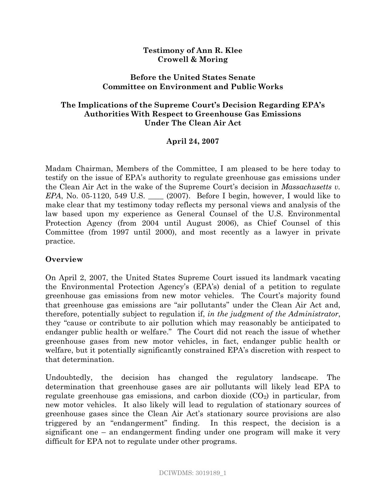### **Testimony of Ann R. Klee Crowell & Moring**

### **Before the United States Senate Committee on Environment and Public Works**

## **The Implications of the Supreme Court's Decision Regarding EPA's Authorities With Respect to Greenhouse Gas Emissions Under The Clean Air Act**

# **April 24, 2007**

Madam Chairman, Members of the Committee, I am pleased to be here today to testify on the issue of EPA's authority to regulate greenhouse gas emissions under the Clean Air Act in the wake of the Supreme Court's decision in *Massachusetts v. EPA*, No. 05-1120, 549 U.S. \_\_\_\_ (2007). Before I begin, however, I would like to make clear that my testimony today reflects my personal views and analysis of the law based upon my experience as General Counsel of the U.S. Environmental Protection Agency (from 2004 until August 2006), as Chief Counsel of this Committee (from 1997 until 2000), and most recently as a lawyer in private practice.

#### **Overview**

On April 2, 2007, the United States Supreme Court issued its landmark vacating the Environmental Protection Agency's (EPA's) denial of a petition to regulate greenhouse gas emissions from new motor vehicles. The Court's majority found that greenhouse gas emissions are "air pollutants" under the Clean Air Act and, therefore, potentially subject to regulation if, *in the judgment of the Administrator*, they "cause or contribute to air pollution which may reasonably be anticipated to endanger public health or welfare." The Court did not reach the issue of whether greenhouse gases from new motor vehicles, in fact, endanger public health or welfare, but it potentially significantly constrained EPA's discretion with respect to that determination.

Undoubtedly, the decision has changed the regulatory landscape. The determination that greenhouse gases are air pollutants will likely lead EPA to regulate greenhouse gas emissions, and carbon dioxide  $(CO_2)$  in particular, from new motor vehicles. It also likely will lead to regulation of stationary sources of greenhouse gases since the Clean Air Act's stationary source provisions are also triggered by an "endangerment" finding. In this respect, the decision is a significant one – an endangerment finding under one program will make it very difficult for EPA not to regulate under other programs.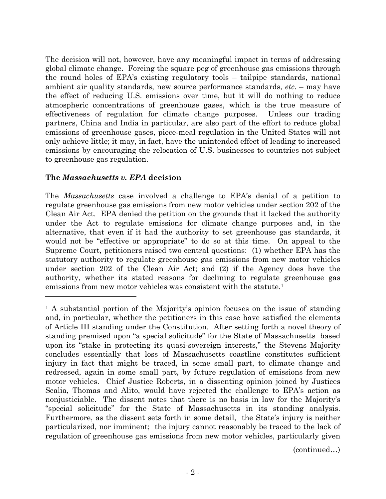The decision will not, however, have any meaningful impact in terms of addressing global climate change. Forcing the square peg of greenhouse gas emissions through the round holes of EPA's existing regulatory tools – tailpipe standards, national ambient air quality standards, new source performance standards, *etc*. – may have the effect of reducing U.S. emissions over time, but it will do nothing to reduce atmospheric concentrations of greenhouse gases, which is the true measure of effectiveness of regulation for climate change purposes. Unless our trading partners, China and India in particular, are also part of the effort to reduce global emissions of greenhouse gases, piece-meal regulation in the United States will not only achieve little; it may, in fact, have the unintended effect of leading to increased emissions by encouraging the relocation of U.S. businesses to countries not subject to greenhouse gas regulation.

### **The** *Massachusetts v. EPA* **decision**

The *Massachusetts* case involved a challenge to EPA's denial of a petition to regulate greenhouse gas emissions from new motor vehicles under section 202 of the Clean Air Act. EPA denied the petition on the grounds that it lacked the authority under the Act to regulate emissions for climate change purposes and, in the alternative, that even if it had the authority to set greenhouse gas standards, it would not be "effective or appropriate" to do so at this time. On appeal to the Supreme Court, petitioners raised two central questions: (1) whether EPA has the statutory authority to regulate greenhouse gas emissions from new motor vehicles under section 202 of the Clean Air Act; and (2) if the Agency does have the authority, whether its stated reasons for declining to regulate greenhouse gas emissions from new motor vehicles was consistent with the statute.<sup>1</sup>

(continued…)

<sup>1</sup> A substantial portion of the Majority's opinion focuses on the issue of standing and, in particular, whether the petitioners in this case have satisfied the elements of Article III standing under the Constitution. After setting forth a novel theory of standing premised upon "a special solicitude" for the State of Massachusetts based upon its "stake in protecting its quasi-sovereign interests," the Stevens Majority concludes essentially that loss of Massachusetts coastline constitutes sufficient injury in fact that might be traced, in some small part, to climate change and redressed, again in some small part, by future regulation of emissions from new motor vehicles. Chief Justice Roberts, in a dissenting opinion joined by Justices Scalia, Thomas and Alito, would have rejected the challenge to EPA's action as nonjusticiable. The dissent notes that there is no basis in law for the Majority's "special solicitude" for the State of Massachusetts in its standing analysis. Furthermore, as the dissent sets forth in some detail, the State's injury is neither particularized, nor imminent; the injury cannot reasonably be traced to the lack of regulation of greenhouse gas emissions from new motor vehicles, particularly given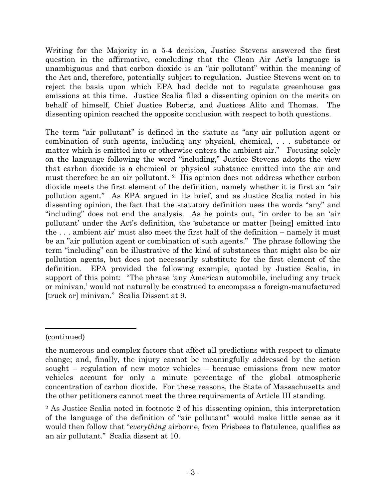Writing for the Majority in a 5-4 decision, Justice Stevens answered the first question in the affirmative, concluding that the Clean Air Act's language is unambiguous and that carbon dioxide is an "air pollutant" within the meaning of the Act and, therefore, potentially subject to regulation. Justice Stevens went on to reject the basis upon which EPA had decide not to regulate greenhouse gas emissions at this time. Justice Scalia filed a dissenting opinion on the merits on behalf of himself, Chief Justice Roberts, and Justices Alito and Thomas. The dissenting opinion reached the opposite conclusion with respect to both questions.

The term "air pollutant" is defined in the statute as "any air pollution agent or combination of such agents, including any physical, chemical, . . . substance or matter which is emitted into or otherwise enters the ambient air." Focusing solely on the language following the word "including," Justice Stevens adopts the view that carbon dioxide is a chemical or physical substance emitted into the air and must therefore be an air pollutant. <sup>2</sup> His opinion does not address whether carbon dioxide meets the first element of the definition, namely whether it is first an "air pollution agent." As EPA argued in its brief, and as Justice Scalia noted in his dissenting opinion, the fact that the statutory definition uses the words "any" and "including" does not end the analysis. As he points out, "in order to be an 'air pollutant' under the Act's definition, the 'substance or matter [being] emitted into the . . . ambient air' must also meet the first half of the definition – namely it must be an "air pollution agent or combination of such agents." The phrase following the term "including" can be illustrative of the kind of substances that might also be air pollution agents, but does not necessarily substitute for the first element of the definition. EPA provided the following example, quoted by Justice Scalia, in support of this point: "The phrase 'any American automobile, including any truck or minivan,' would not naturally be construed to encompass a foreign-manufactured [truck or] minivan." Scalia Dissent at 9.

<sup>(</sup>continued)

the numerous and complex factors that affect all predictions with respect to climate change; and, finally, the injury cannot be meaningfully addressed by the action sought – regulation of new motor vehicles – because emissions from new motor vehicles account for only a minute percentage of the global atmospheric concentration of carbon dioxide. For these reasons, the State of Massachusetts and the other petitioners cannot meet the three requirements of Article III standing.

<sup>2</sup> As Justice Scalia noted in footnote 2 of his dissenting opinion, this interpretation of the language of the definition of "air pollutant" would make little sense as it would then follow that "*everything* airborne, from Frisbees to flatulence, qualifies as an air pollutant." Scalia dissent at 10.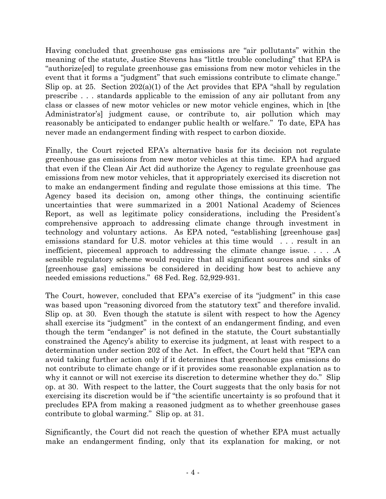Having concluded that greenhouse gas emissions are "air pollutants" within the meaning of the statute, Justice Stevens has "little trouble concluding" that EPA is "authorize[ed] to regulate greenhouse gas emissions from new motor vehicles in the event that it forms a "judgment" that such emissions contribute to climate change." Slip op. at 25. Section  $202(a)(1)$  of the Act provides that EPA "shall by regulation" prescribe . . . standards applicable to the emission of any air pollutant from any class or classes of new motor vehicles or new motor vehicle engines, which in [the Administrator's] judgment cause, or contribute to, air pollution which may reasonably be anticipated to endanger public health or welfare." To date, EPA has never made an endangerment finding with respect to carbon dioxide.

Finally, the Court rejected EPA's alternative basis for its decision not regulate greenhouse gas emissions from new motor vehicles at this time. EPA had argued that even if the Clean Air Act did authorize the Agency to regulate greenhouse gas emissions from new motor vehicles, that it appropriately exercised its discretion not to make an endangerment finding and regulate those emissions at this time. The Agency based its decision on, among other things, the continuing scientific uncertainties that were summarized in a 2001 National Academy of Sciences Report, as well as legitimate policy considerations, including the President's comprehensive approach to addressing climate change through investment in technology and voluntary actions. As EPA noted, "establishing [greenhouse gas] emissions standard for U.S. motor vehicles at this time would . . . result in an inefficient, piecemeal approach to addressing the climate change issue. . . . .A sensible regulatory scheme would require that all significant sources and sinks of [greenhouse gas] emissions be considered in deciding how best to achieve any needed emissions reductions." 68 Fed. Reg. 52,929-931.

The Court, however, concluded that EPA"s exercise of its "judgment" in this case was based upon "reasoning divorced from the statutory text" and therefore invalid. Slip op. at 30. Even though the statute is silent with respect to how the Agency shall exercise its "judgment" in the context of an endangerment finding, and even though the term "endanger" is not defined in the statute, the Court substantially constrained the Agency's ability to exercise its judgment, at least with respect to a determination under section 202 of the Act. In effect, the Court held that "EPA can avoid taking further action only if it determines that greenhouse gas emissions do not contribute to climate change or if it provides some reasonable explanation as to why it cannot or will not exercise its discretion to determine whether they do." Slip op. at 30. With respect to the latter, the Court suggests that the only basis for not exercising its discretion would be if "the scientific uncertainty is so profound that it precludes EPA from making a reasoned judgment as to whether greenhouse gases contribute to global warming." Slip op. at 31.

Significantly, the Court did not reach the question of whether EPA must actually make an endangerment finding, only that its explanation for making, or not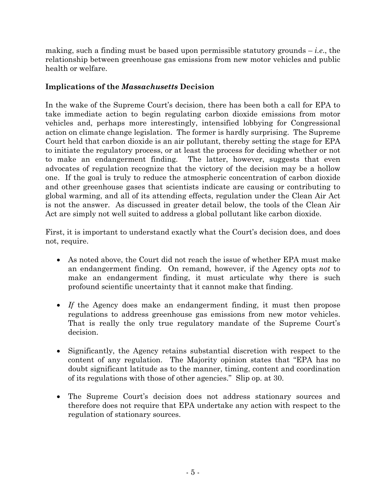making, such a finding must be based upon permissible statutory grounds – *i.e*., the relationship between greenhouse gas emissions from new motor vehicles and public health or welfare.

# **Implications of the** *Massachusetts* **Decision**

In the wake of the Supreme Court's decision, there has been both a call for EPA to take immediate action to begin regulating carbon dioxide emissions from motor vehicles and, perhaps more interestingly, intensified lobbying for Congressional action on climate change legislation. The former is hardly surprising. The Supreme Court held that carbon dioxide is an air pollutant, thereby setting the stage for EPA to initiate the regulatory process, or at least the process for deciding whether or not to make an endangerment finding. The latter, however, suggests that even advocates of regulation recognize that the victory of the decision may be a hollow one. If the goal is truly to reduce the atmospheric concentration of carbon dioxide and other greenhouse gases that scientists indicate are causing or contributing to global warming, and all of its attending effects, regulation under the Clean Air Act is not the answer. As discussed in greater detail below, the tools of the Clean Air Act are simply not well suited to address a global pollutant like carbon dioxide.

First, it is important to understand exactly what the Court's decision does, and does not, require.

- As noted above, the Court did not reach the issue of whether EPA must make an endangerment finding. On remand, however, if the Agency opts *not* to make an endangerment finding, it must articulate why there is such profound scientific uncertainty that it cannot make that finding.
- · *If* the Agency does make an endangerment finding, it must then propose regulations to address greenhouse gas emissions from new motor vehicles. That is really the only true regulatory mandate of the Supreme Court's decision.
- · Significantly, the Agency retains substantial discretion with respect to the content of any regulation. The Majority opinion states that "EPA has no doubt significant latitude as to the manner, timing, content and coordination of its regulations with those of other agencies." Slip op. at 30.
- · The Supreme Court's decision does not address stationary sources and therefore does not require that EPA undertake any action with respect to the regulation of stationary sources.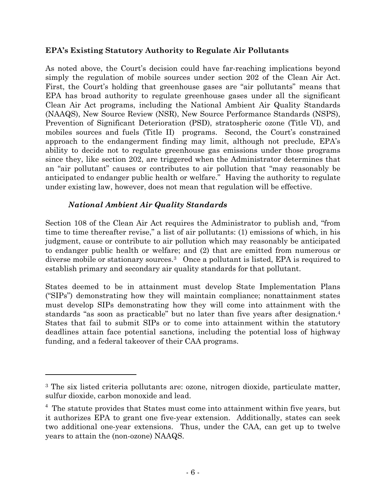## **EPA's Existing Statutory Authority to Regulate Air Pollutants**

As noted above, the Court's decision could have far-reaching implications beyond simply the regulation of mobile sources under section 202 of the Clean Air Act. First, the Court's holding that greenhouse gases are "air pollutants" means that EPA has broad authority to regulate greenhouse gases under all the significant Clean Air Act programs, including the National Ambient Air Quality Standards (NAAQS), New Source Review (NSR), New Source Performance Standards (NSPS), Prevention of Significant Deterioration (PSD), stratospheric ozone (Title VI), and mobiles sources and fuels (Title II) programs. Second, the Court's constrained approach to the endangerment finding may limit, although not preclude, EPA's ability to decide not to regulate greenhouse gas emissions under those programs since they, like section 202, are triggered when the Administrator determines that an "air pollutant" causes or contributes to air pollution that "may reasonably be anticipated to endanger public health or welfare." Having the authority to regulate under existing law, however, does not mean that regulation will be effective.

# *National Ambient Air Quality Standards*

Section 108 of the Clean Air Act requires the Administrator to publish and, "from time to time thereafter revise," a list of air pollutants: (1) emissions of which, in his judgment, cause or contribute to air pollution which may reasonably be anticipated to endanger public health or welfare; and (2) that are emitted from numerous or diverse mobile or stationary sources.<sup>3</sup> Once a pollutant is listed, EPA is required to establish primary and secondary air quality standards for that pollutant.

States deemed to be in attainment must develop State Implementation Plans ("SIPs") demonstrating how they will maintain compliance; nonattainment states must develop SIPs demonstrating how they will come into attainment with the standards "as soon as practicable" but no later than five years after designation.<sup>4</sup> States that fail to submit SIPs or to come into attainment within the statutory deadlines attain face potential sanctions, including the potential loss of highway funding, and a federal takeover of their CAA programs.

<sup>3</sup> The six listed criteria pollutants are: ozone, nitrogen dioxide, particulate matter, sulfur dioxide, carbon monoxide and lead.

<sup>&</sup>lt;sup>4</sup> The statute provides that States must come into attainment within five years, but it authorizes EPA to grant one five-year extension. Additionally, states can seek two additional one-year extensions. Thus, under the CAA, can get up to twelve years to attain the (non-ozone) NAAQS.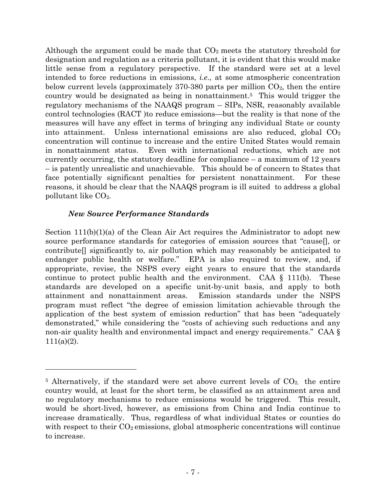Although the argument could be made that  $CO<sub>2</sub>$  meets the statutory threshold for designation and regulation as a criteria pollutant, it is evident that this would make little sense from a regulatory perspective. If the standard were set at a level intended to force reductions in emissions, *i.e*., at some atmospheric concentration below current levels (approximately 370-380 parts per million  $CO<sub>2</sub>$ , then the entire country would be designated as being in nonattainment.<sup>5</sup> This would trigger the regulatory mechanisms of the NAAQS program – SIPs, NSR, reasonably available control technologies (RACT )to reduce emissions—but the reality is that none of the measures will have any effect in terms of bringing any individual State or county into attainment. Unless international emissions are also reduced, global  $CO<sub>2</sub>$ concentration will continue to increase and the entire United States would remain in nonattainment status. Even with international reductions, which are not currently occurring, the statutory deadline for compliance – a maximum of 12 years – is patently unrealistic and unachievable. This should be of concern to States that face potentially significant penalties for persistent nonattainment. For these reasons, it should be clear that the NAAQS program is ill suited to address a global pollutant like CO2.

### *New Source Performance Standards*

Section  $111(b)(1)(a)$  of the Clean Air Act requires the Administrator to adopt new source performance standards for categories of emission sources that "cause[], or contribute[] significantly to, air pollution which may reasonably be anticipated to endanger public health or welfare." EPA is also required to review, and, if appropriate, revise, the NSPS every eight years to ensure that the standards continue to protect public health and the environment. CAA  $\S$  111(b). These standards are developed on a specific unit-by-unit basis, and apply to both attainment and nonattainment areas. Emission standards under the NSPS program must reflect "the degree of emission limitation achievable through the application of the best system of emission reduction" that has been "adequately demonstrated," while considering the "costs of achieving such reductions and any non-air quality health and environmental impact and energy requirements." CAA § 111(a)(2).

<sup>&</sup>lt;sup>5</sup> Alternatively, if the standard were set above current levels of  $CO<sub>2</sub>$ , the entire country would, at least for the short term, be classified as an attainment area and no regulatory mechanisms to reduce emissions would be triggered. This result, would be short-lived, however, as emissions from China and India continue to increase dramatically. Thus, regardless of what individual States or counties do with respect to their  $CO<sub>2</sub>$  emissions, global atmospheric concentrations will continue to increase.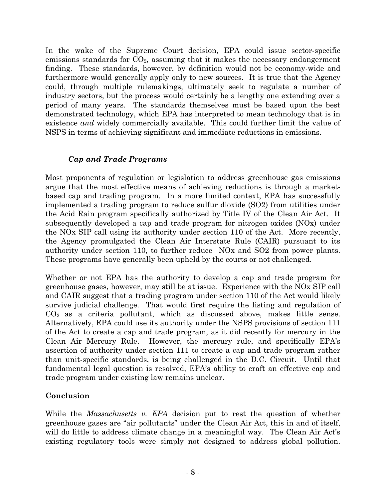In the wake of the Supreme Court decision, EPA could issue sector-specific emissions standards for  $CO<sub>2</sub>$ , assuming that it makes the necessary endangerment finding. These standards, however, by definition would not be economy-wide and furthermore would generally apply only to new sources. It is true that the Agency could, through multiple rulemakings, ultimately seek to regulate a number of industry sectors, but the process would certainly be a lengthy one extending over a period of many years. The standards themselves must be based upon the best demonstrated technology, which EPA has interpreted to mean technology that is in existence *and* widely commercially available. This could further limit the value of NSPS in terms of achieving significant and immediate reductions in emissions.

# *Cap and Trade Programs*

Most proponents of regulation or legislation to address greenhouse gas emissions argue that the most effective means of achieving reductions is through a marketbased cap and trading program. In a more limited context, EPA has successfully implemented a trading program to reduce sulfur dioxide (SO2) from utilities under the Acid Rain program specifically authorized by Title IV of the Clean Air Act. It subsequently developed a cap and trade program for nitrogen oxides (NOx) under the NOx SIP call using its authority under section 110 of the Act. More recently, the Agency promulgated the Clean Air Interstate Rule (CAIR) pursuant to its authority under section 110, to further reduce NOx and SO2 from power plants. These programs have generally been upheld by the courts or not challenged.

Whether or not EPA has the authority to develop a cap and trade program for greenhouse gases, however, may still be at issue. Experience with the NOx SIP call and CAIR suggest that a trading program under section 110 of the Act would likely survive judicial challenge. That would first require the listing and regulation of  $CO<sub>2</sub>$  as a criteria pollutant, which as discussed above, makes little sense. Alternatively, EPA could use its authority under the NSPS provisions of section 111 of the Act to create a cap and trade program, as it did recently for mercury in the Clean Air Mercury Rule. However, the mercury rule, and specifically EPA's assertion of authority under section 111 to create a cap and trade program rather than unit-specific standards, is being challenged in the D.C. Circuit. Until that fundamental legal question is resolved, EPA's ability to craft an effective cap and trade program under existing law remains unclear.

# **Conclusion**

While the *Massachusetts v. EPA* decision put to rest the question of whether greenhouse gases are "air pollutants" under the Clean Air Act, this in and of itself, will do little to address climate change in a meaningful way. The Clean Air Act's existing regulatory tools were simply not designed to address global pollution.